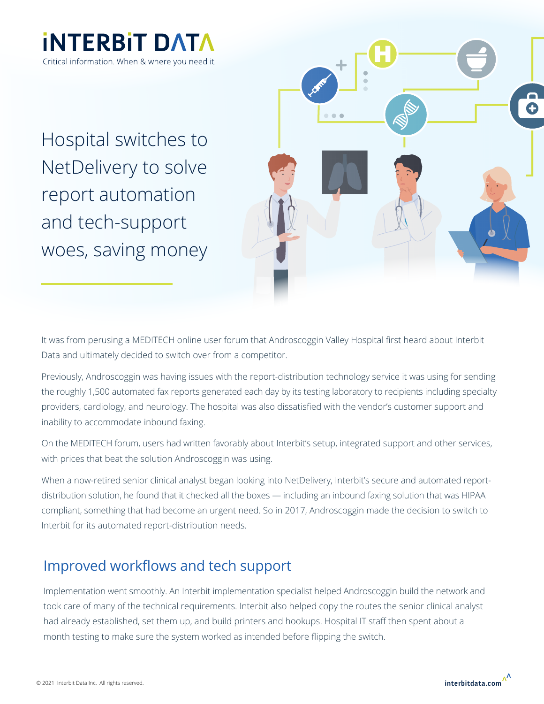

Hospital switches to NetDelivery to solve report automation and tech-support woes, saving money



It was from perusing a MEDITECH online user forum that Androscoggin Valley Hospital first heard about Interbit Data and ultimately decided to switch over from a competitor.

Previously, Androscoggin was having issues with the report-distribution technology service it was using for sending the roughly 1,500 automated fax reports generated each day by its testing laboratory to recipients including specialty providers, cardiology, and neurology. The hospital was also dissatisfied with the vendor's customer support and inability to accommodate inbound faxing.

On the MEDITECH forum, users had written favorably about Interbit's setup, integrated support and other services, with prices that beat the solution Androscoggin was using.

When a now-retired senior clinical analyst began looking into NetDelivery, Interbit's secure and automated reportdistribution solution, he found that it checked all the boxes — including an inbound faxing solution that was HIPAA compliant, something that had become an urgent need. So in 2017, Androscoggin made the decision to switch to Interbit for its automated report-distribution needs.

### Improved workflows and tech support

Implementation went smoothly. An Interbit implementation specialist helped Androscoggin build the network and took care of many of the technical requirements. Interbit also helped copy the routes the senior clinical analyst had already established, set them up, and build printers and hookups. Hospital IT staff then spent about a month testing to make sure the system worked as intended before flipping the switch.

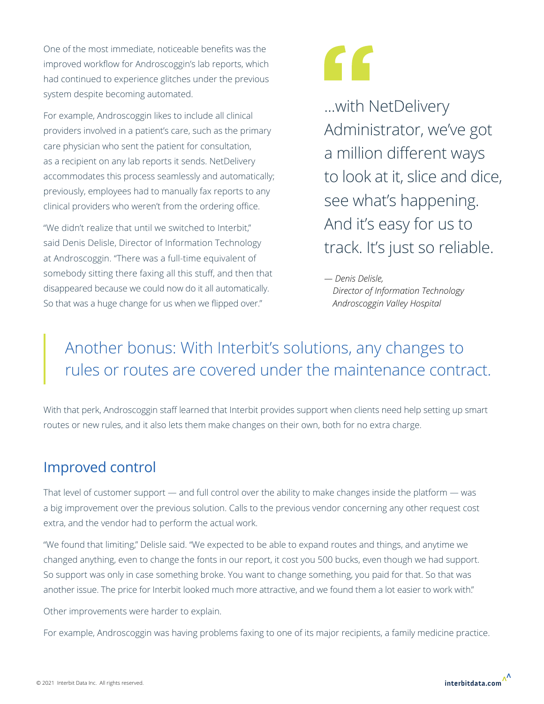One of the most immediate, noticeable benefits was the improved workflow for Androscoggin's lab reports, which had continued to experience glitches under the previous system despite becoming automated.

For example, Androscoggin likes to include all clinical providers involved in a patient's care, such as the primary care physician who sent the patient for consultation, as a recipient on any lab reports it sends. NetDelivery accommodates this process seamlessly and automatically; previously, employees had to manually fax reports to any clinical providers who weren't from the ordering office.

"We didn't realize that until we switched to Interbit," said Denis Delisle, Director of Information Technology at Androscoggin. "There was a full-time equivalent of somebody sitting there faxing all this stuff, and then that disappeared because we could now do it all automatically. So that was a huge change for us when we flipped over."

# "

...with NetDelivery Administrator, we've got a million different ways to look at it, slice and dice, see what's happening. And it's easy for us to track. It's just so reliable.

*— Denis Delisle, Director of Information Technology Androscoggin Valley Hospital*

# Another bonus: With Interbit's solutions, any changes to rules or routes are covered under the maintenance contract.

With that perk, Androscoggin staff learned that Interbit provides support when clients need help setting up smart routes or new rules, and it also lets them make changes on their own, both for no extra charge.

## Improved control

That level of customer support — and full control over the ability to make changes inside the platform — was a big improvement over the previous solution. Calls to the previous vendor concerning any other request cost extra, and the vendor had to perform the actual work.

"We found that limiting," Delisle said. "We expected to be able to expand routes and things, and anytime we changed anything, even to change the fonts in our report, it cost you 500 bucks, even though we had support. So support was only in case something broke. You want to change something, you paid for that. So that was another issue. The price for Interbit looked much more attractive, and we found them a lot easier to work with."

Other improvements were harder to explain.

For example, Androscoggin was having problems faxing to one of its major recipients, a family medicine practice.